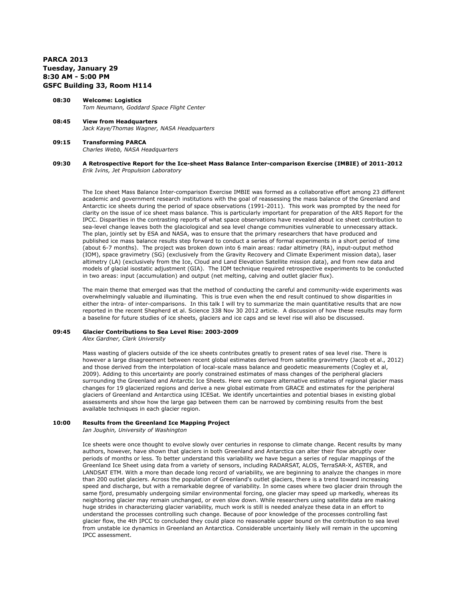# **PARCA 2013 Tuesday, January 29 8:30 AM - 5:00 PM GSFC Building 33, Room H114**

- **08:30 Welcome: Logistics**  *Tom Neumann, Goddard Space Flight Center*
- **08:45 View from Headquarters** *Jack Kaye/Thomas Wagner, NASA Headquarters*
- **09:15 Transforming PARCA** *Charles Webb, NASA Headquarters*
- **09:30 A Retrospective Report for the Ice-sheet Mass Balance Inter-comparison Exercise (IMBIE) of 2011-2012** *Erik Ivins, Jet Propulsion Laboratory*

The Ice sheet Mass Balance Inter-comparison Exercise IMBIE was formed as a collaborative effort among 23 different academic and government research institutions with the goal of reassessing the mass balance of the Greenland and Antarctic ice sheets during the period of space observations (1991-2011). This work was prompted by the need for clarity on the issue of ice sheet mass balance. This is particularly important for preparation of the AR5 Report for the IPCC. Disparities in the contrasting reports of what space observations have revealed about ice sheet contribution to sea-level change leaves both the glaciological and sea level change communities vulnerable to unnecessary attack. The plan, jointly set by ESA and NASA, was to ensure that the primary researchers that have produced and published ice mass balance results step forward to conduct a series of formal experiments in a short period of time (about 6-7 months). The project was broken down into 6 main areas: radar altimetry (RA), input-output method (IOM), space gravimetry (SG) (exclusively from the Gravity Recovery and Climate Experiment mission data), laser altimetry (LA) (exclusively from the Ice, Cloud and Land Elevation Satellite mission data), and from new data and models of glacial isostatic adjustment (GIA). The IOM technique required retrospective experiments to be conducted in two areas: input (accumulation) and output (net melting, calving and outlet glacier flux).

The main theme that emerged was that the method of conducting the careful and community-wide experiments was overwhelmingly valuable and illuminating. This is true even when the end result continued to show disparities in either the intra- of inter-comparisons. In this talk I will try to summarize the main quantitative results that are now reported in the recent Shepherd et al. Science 338 Nov 30 2012 article. A discussion of how these results may form a baseline for future studies of ice sheets, glaciers and ice caps and se level rise will also be discussed.

# **09:45 Glacier Contributions to Sea Level Rise: 2003-2009**

*Alex Gardner, Clark University*

Mass wasting of glaciers outside of the ice sheets contributes greatly to present rates of sea level rise. There is however a large disagreement between recent global estimates derived from satellite gravimetry (Jacob et al., 2012) and those derived from the interpolation of local-scale mass balance and geodetic measurements (Cogley et al, 2009). Adding to this uncertainty are poorly constrained estimates of mass changes of the peripheral glaciers surrounding the Greenland and Antarctic Ice Sheets. Here we compare alternative estimates of regional glacier mass changes for 19 glacierized regions and derive a new global estimate from GRACE and estimates for the peripheral glaciers of Greenland and Antarctica using ICESat. We identify uncertainties and potential biases in existing global assessments and show how the large gap between them can be narrowed by combining results from the best available techniques in each glacier region.

# **10:00 Results from the Greenland Ice Mapping Project**

*Ian Joughin, University of Washington*

Ice sheets were once thought to evolve slowly over centuries in response to climate change. Recent results by many authors, however, have shown that glaciers in both Greenland and Antarctica can alter their flow abruptly over periods of months or less. To better understand this variability we have begun a series of regular mappings of the Greenland Ice Sheet using data from a variety of sensors, including RADARSAT, ALOS, TerraSAR-X, ASTER, and LANDSAT ETM. With a more than decade long record of variability, we are beginning to analyze the changes in more than 200 outlet glaciers. Across the population of Greenland's outlet glaciers, there is a trend toward increasing speed and discharge, but with a remarkable degree of variability. In some cases where two glacier drain through the same fjord, presumably undergoing similar environmental forcing, one glacier may speed up markedly, whereas its neighboring glacier may remain unchanged, or even slow down. While researchers using satellite data are making huge strides in characterizing glacier variability, much work is still is needed analyze these data in an effort to understand the processes controlling such change. Because of poor knowledge of the processes controlling fast glacier flow, the 4th IPCC to concluded they could place no reasonable upper bound on the contribution to sea level from unstable ice dynamics in Greenland an Antarctica. Considerable uncertainly likely will remain in the upcoming IPCC assessment.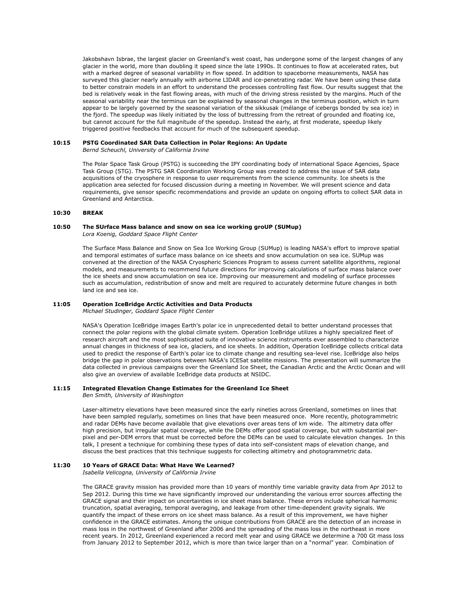Jakobshavn Isbrae, the largest glacier on Greenland's west coast, has undergone some of the largest changes of any glacier in the world, more than doubling it speed since the late 1990s. It continues to flow at accelerated rates, but with a marked degree of seasonal variability in flow speed. In addition to spaceborne measurements, NASA has surveyed this glacier nearly annually with airborne LIDAR and ice-penetrating radar. We have been using these data to better constrain models in an effort to understand the processes controlling fast flow. Our results suggest that the bed is relatively weak in the fast flowing areas, with much of the driving stress resisted by the margins. Much of the seasonal variability near the terminus can be explained by seasonal changes in the terminus position, which in turn appear to be largely governed by the seasonal variation of the sikkusak (mélange of icebergs bonded by sea ice) in the fjord. The speedup was likely initiated by the loss of buttressing from the retreat of grounded and floating ice, but cannot account for the full magnitude of the speedup. Instead the early, at first moderate, speedup likely triggered positive feedbacks that account for much of the subsequent speedup.

#### **10:15 PSTG Coordinated SAR Data Collection in Polar Regions: An Update**

*Bernd Scheuchl, University of California Irvine*

The Polar Space Task Group (PSTG) is succeeding the IPY coordinating body of international Space Agencies, Space Task Group (STG). The PSTG SAR Coordination Working Group was created to address the issue of SAR data acquisitions of the cryosphere in response to user requirements from the science community. Ice sheets is the application area selected for focused discussion during a meeting in November. We will present science and data requirements, give sensor specific recommendations and provide an update on ongoing efforts to collect SAR data in Greenland and Antarctica.

# **10:30 BREAK**

### **10:50 The SUrface Mass balance and snow on sea ice working groUP (SUMup)** *Lora Koenig, Goddard Space Flight Center*

The Surface Mass Balance and Snow on Sea Ice Working Group (SUMup) is leading NASA's effort to improve spatial and temporal estimates of surface mass balance on ice sheets and snow accumulation on sea ice. SUMup was convened at the direction of the NASA Cryospheric Sciences Program to assess current satellite algorithms, regional models, and measurements to recommend future directions for improving calculations of surface mass balance over the ice sheets and snow accumulation on sea ice. Improving our measurement and modeling of surface processes such as accumulation, redistribution of snow and melt are required to accurately determine future changes in both land ice and sea ice.

## **11:05 Operation IceBridge Arctic Activities and Data Products**

*Michael Studinger, Goddard Space Flight Center*

NASA's Operation IceBridge images Earth's polar ice in unprecedented detail to better understand processes that connect the polar regions with the global climate system. Operation IceBridge utilizes a highly specialized fleet of research aircraft and the most sophisticated suite of innovative science instruments ever assembled to characterize annual changes in thickness of sea ice, glaciers, and ice sheets. In addition, Operation IceBridge collects critical data used to predict the response of Earth's polar ice to climate change and resulting sea-level rise. IceBridge also helps bridge the gap in polar observations between NASA's ICESat satellite missions. The presentation will summarize the data collected in previous campaigns over the Greenland Ice Sheet, the Canadian Arctic and the Arctic Ocean and will also give an overview of available IceBridge data products at NSIDC.

## **11:15 Integrated Elevation Change Estimates for the Greenland Ice Sheet**

*Ben Smith, University of Washington*

Laser-altimetry elevations have been measured since the early nineties across Greenland, sometimes on lines that have been sampled regularly, sometimes on lines that have been measured once. More recently, photogrammetric and radar DEMs have become available that give elevations over areas tens of km wide. The altimetry data offer high precision, but irregular spatial coverage, while the DEMs offer good spatial coverage, but with substantial perpixel and per-DEM errors that must be corrected before the DEMs can be used to calculate elevation changes. In this talk, I present a technique for combining these types of data into self-consistent maps of elevation change, and discuss the best practices that this technique suggests for collecting altimetry and photogrammetric data.

# **11:30 10 Years of GRACE Data: What Have We Learned?**

*Isabella Velicogna, University of California Irvine*

The GRACE gravity mission has provided more than 10 years of monthly time variable gravity data from Apr 2012 to Sep 2012. During this time we have significantly improved our understanding the various error sources affecting the GRACE signal and their impact on uncertainties in ice sheet mass balance. These errors include spherical harmonic truncation, spatial averaging, temporal averaging, and leakage from other time-dependent gravity signals. We quantify the impact of these errors on ice sheet mass balance. As a result of this improvement, we have higher confidence in the GRACE estimates. Among the unique contributions from GRACE are the detection of an increase in mass loss in the northwest of Greenland after 2006 and the spreading of the mass loss in the northeast in more recent years. In 2012, Greenland experienced a record melt year and using GRACE we determine a 700 Gt mass loss from January 2012 to September 2012, which is more than twice larger than on a "normal" year. Combination of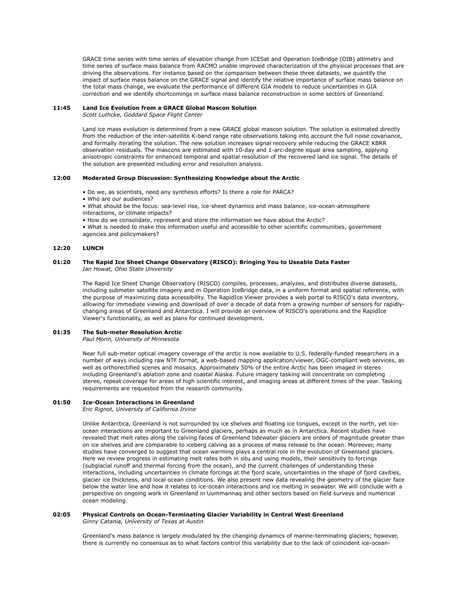GRACE time series with time series of elevation change from ICESat and Operation IceBridge (OIB) altimetry and time series of surface mass balance from RACMO unable improved characterization of the physical processes that are driving the observations. For instance based on the comparison between these three datasets, we quantify the impact of surface mass balance on the GRACE signal and identify the relative importance of surface mass balance on the total mass change, we evaluate the performance of different GIA models to reduce uncertainties in GIA correction and we identify shortcomings in surface mass balance reconstruction in some sectors of Greenland.

#### **11:45 Land Ice Evolution from a GRACE Global Mascon Solution**

*Scott Luthcke, Goddard Space Flight Center*

Land ice mass evolution is determined from a new GRACE global mascon solution. The solution is estimated directly from the reduction of the inter-satellite K-band range rate observations taking into account the full noise covariance, and formally iterating the solution. The new solution increases signal recovery while reducing the GRACE KBRR observation residuals. The mascons are estimated with 10-day and 1-arc-degree equal area sampling, applying anisotropic constraints for enhanced temporal and spatial resolution of the recovered land ice signal. The details of the solution are presented including error and resolution analysis.

#### **12:00 Moderated Group Discussion: Synthesizing Knowledge about the Arctic**

- Do we, as scientists, need any synthesis efforts? Is there a role for PARCA?
- Who are our audiences?
- What should be the focus: sea-level rise, ice-sheet dynamics and mass balance, ice-ocean-atmosphere interactions, or climate impacts?
- How do we consolidate, represent and store the information we have about the Arctic?

• What is needed to make this information useful and accessible to other scientific communities, government agencies and policymakers?

#### **12:20 LUNCH**

#### **01:20 The Rapid Ice Sheet Change Observatory (RISCO): Bringing You to Useable Data Faster** *Ian Howat, Ohio State University*

The Rapid Ice Sheet Change Observatory (RISCO) compiles, processes, analyzes, and distributes diverse datasets, including submeter satellite imagery and m Operation IceBridge data, in a uniform format and spatial reference, with the purpose of maximizing data accessibility. The RapidIce Viewer provides a web portal to RISCO's data inventory, allowing for immediate viewing and download of over a decade of data from a growing number of sensors for rapidlychanging areas of Greenland and Antarctica. I will provide an overview of RISCO's operations and the RapidIce Viewer's functionality, as well as plans for continued development.

### **01:35 The Sub-meter Resolution Arctic**

*Paul Morin, University of Minnesota*

Near full sub-meter optical imagery coverage of the arctic is now available to U.S. federally-funded researchers in a number of ways including raw NTF format, a web-based mapping application/viewer, OGC-compliant web services, as well as orthorectified scenes and mosaics. Approximately 50% of the entire Arctic has been imaged in stereo including Greenland's ablation zone and coastal Alaska. Future imagery tasking will concentrate on completing stereo, repeat coverage for areas of high scientific interest, and imaging areas at different times of the year. Tasking requirements are requested from the research community.

# **01:50 Ice-Ocean Interactions in Greenland**

*Eric Rignot, University of California Irvine*

Unlike Antarctica, Greenland is not surrounded by ice shelves and floating ice tongues, except in the north, yet iceocean interactions are important to Greenland glaciers, perhaps as much as in Antarctica. Recent studies have revealed that melt rates along the calving faces of Greenland tidewater glaciers are orders of magnitude greater than on ice shelves and are comparable to iceberg calving as a process of mass release to the ocean. Moreover, many studies have converged to suggest that ocean warming plays a central role in the evolution of Greenland glaciers. Here we review progress in estimating melt rates both in situ and using models, their sensitivity to forcings (subglacial runoff and thermal forcing from the ocean), and the current challenges of understanding these interactions, including uncertainties in climate forcings at the fjord scale, uncertainties in the shape of fjord cavities, glacier ice thickness, and local ocean conditions. We also present new data revealing the geometry of the glacier face below the water line and how it relates to ice-ocean interactions and ice melting in seawater. We will conclude with a perspective on ongoing work in Greenland in Uummannaq and other sectors based on field surveys and numerical ocean modeling.

#### **02:05 Physical Controls on Ocean-Terminating Glacier Variability in Central West Greenland**  *Ginny Catania, University of Texas at Austin*

Greenland's mass balance is largely modulated by the changing dynamics of marine-terminating glaciers; however, there is currently no consensus as to what factors control this variability due to the lack of coincident ice-ocean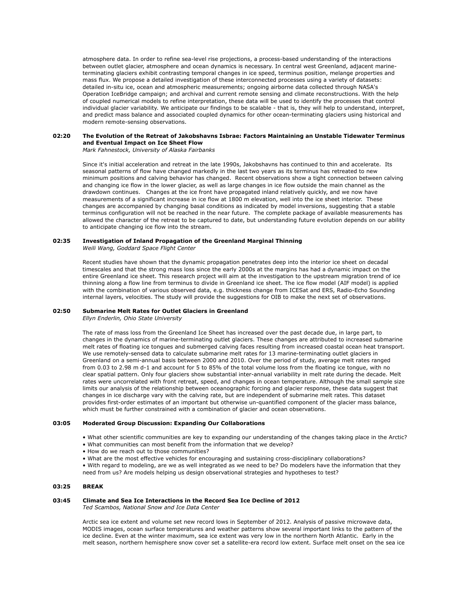atmosphere data. In order to refine sea-level rise projections, a process-based understanding of the interactions between outlet glacier, atmosphere and ocean dynamics is necessary. In central west Greenland, adjacent marineterminating glaciers exhibit contrasting temporal changes in ice speed, terminus position, melange properties and mass flux. We propose a detailed investigation of these interconnected processes using a variety of datasets: detailed in-situ ice, ocean and atmospheric measurements; ongoing airborne data collected through NASA's Operation IceBridge campaign; and archival and current remote sensing and climate reconstructions. With the help of coupled numerical models to refine interpretation, these data will be used to identify the processes that control individual glacier variability. We anticipate our findings to be scalable - that is, they will help to understand, interpret, and predict mass balance and associated coupled dynamics for other ocean-terminating glaciers using historical and modern remote-sensing observations.

#### **02:20 The Evolution of the Retreat of Jakobshavns Isbrae: Factors Maintaining an Unstable Tidewater Terminus and Eventual Impact on Ice Sheet Flow**

*Mark Fahnestock, University of Alaska Fairbanks*

Since it's initial acceleration and retreat in the late 1990s, Jakobshavns has continued to thin and accelerate. Its seasonal patterns of flow have changed markedly in the last two years as its terminus has retreated to new minimum positions and calving behavior has changed. Recent observations show a tight connection between calving and changing ice flow in the lower glacier, as well as large changes in ice flow outside the main channel as the drawdown continues. Changes at the ice front have propagated inland relatively quickly, and we now have measurements of a significant increase in ice flow at 1800 m elevation, well into the ice sheet interior. These changes are accompanied by changing basal conditions as indicated by model inversions, suggesting that a stable terminus configuration will not be reached in the near future. The complete package of available measurements has allowed the character of the retreat to be captured to date, but understanding future evolution depends on our ability to anticipate changing ice flow into the stream.

# **02:35 Investigation of Inland Propagation of the Greenland Marginal Thinning**

*Weili Wang, Goddard Space Flight Center*

Recent studies have shown that the dynamic propagation penetrates deep into the interior ice sheet on decadal timescales and that the strong mass loss since the early 2000s at the margins has had a dynamic impact on the entire Greenland ice sheet. This research project will aim at the investigation to the upstream migration trend of ice thinning along a flow line from terminus to divide in Greenland ice sheet. The ice flow model (AIF model) is applied with the combination of various observed data, e.g. thickness change from ICESat and ERS, Radio-Echo Sounding internal layers, velocities. The study will provide the suggestions for OIB to make the next set of observations.

### **02:50 Submarine Melt Rates for Outlet Glaciers in Greenland**

*Ellyn Enderlin, Ohio State University*

The rate of mass loss from the Greenland Ice Sheet has increased over the past decade due, in large part, to changes in the dynamics of marine-terminating outlet glaciers. These changes are attributed to increased submarine melt rates of floating ice tongues and submerged calving faces resulting from increased coastal ocean heat transport. We use remotely-sensed data to calculate submarine melt rates for 13 marine-terminating outlet glaciers in Greenland on a semi-annual basis between 2000 and 2010. Over the period of study, average melt rates ranged from 0.03 to 2.98 m d-1 and account for 5 to 85% of the total volume loss from the floating ice tongue, with no clear spatial pattern. Only four glaciers show substantial inter-annual variability in melt rate during the decade. Melt rates were uncorrelated with front retreat, speed, and changes in ocean temperature. Although the small sample size limits our analysis of the relationship between oceanographic forcing and glacier response, these data suggest that changes in ice discharge vary with the calving rate, but are independent of submarine melt rates. This dataset provides first-order estimates of an important but otherwise un-quantified component of the glacier mass balance, which must be further constrained with a combination of glacier and ocean observations.

#### **03:05 Moderated Group Discussion: Expanding Our Collaborations**

- What other scientific communities are key to expanding our understanding of the changes taking place in the Arctic?
- What communities can most benefit from the information that we develop?
- How do we reach out to those communities?
- What are the most effective vehicles for encouraging and sustaining cross-disciplinary collaborations?
- With regard to modeling, are we as well integrated as we need to be? Do modelers have the information that they need from us? Are models helping us design observational strategies and hypotheses to test?

### **03:25 BREAK**

# **03:45 Climate and Sea Ice Interactions in the Record Sea Ice Decline of 2012**

*Ted Scambos, National Snow and Ice Data Center*

Arctic sea ice extent and volume set new record lows in September of 2012. Analysis of passive microwave data, MODIS images, ocean surface temperatures and weather patterns show several important links to the pattern of the ice decline. Even at the winter maximum, sea ice extent was very low in the northern North Atlantic. Early in the melt season, northern hemisphere snow cover set a satellite-era record low extent. Surface melt onset on the sea ice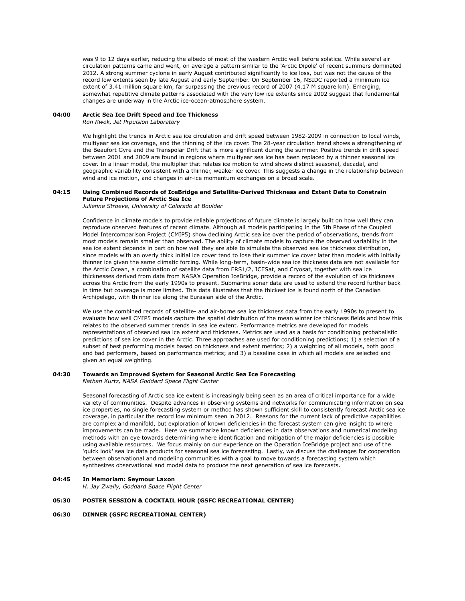was 9 to 12 days earlier, reducing the albedo of most of the western Arctic well before solstice. While several air circulation patterns came and went, on average a pattern similar to the 'Arctic Dipole' of recent summers dominated 2012. A strong summer cyclone in early August contributed significantly to ice loss, but was not the cause of the record low extents seen by late August and early September. On September 16, NSIDC reported a minimum ice extent of 3.41 million square km, far surpassing the previous record of 2007 (4.17 M square km). Emerging, somewhat repetitive climate patterns associated with the very low ice extents since 2002 suggest that fundamental changes are underway in the Arctic ice-ocean-atmosphere system.

# **04:00 Arctic Sea Ice Drift Speed and Ice Thickness**

*Ron Kwok, Jet Prpulsion Laboratory*

We highlight the trends in Arctic sea ice circulation and drift speed between 1982-2009 in connection to local winds, multiyear sea ice coverage, and the thinning of the ice cover. The 28-year circulation trend shows a strengthening of the Beaufort Gyre and the Transpolar Drift that is more significant during the summer. Positive trends in drift speed between 2001 and 2009 are found in regions where multiyear sea ice has been replaced by a thinner seasonal ice cover. In a linear model, the multiplier that relates ice motion to wind shows distinct seasonal, decadal, and geographic variability consistent with a thinner, weaker ice cover. This suggests a change in the relationship between wind and ice motion, and changes in air-ice momentum exchanges on a broad scale.

#### **04:15 Using Combined Records of IceBridge and Satellite-Derived Thickness and Extent Data to Constrain Future Projections of Arctic Sea Ice**

*Julienne Stroeve, University of Colorado at Boulder*

Confidence in climate models to provide reliable projections of future climate is largely built on how well they can reproduce observed features of recent climate. Although all models participating in the 5th Phase of the Coupled Model Intercomparison Project (CMIP5) show declining Arctic sea ice over the period of observations, trends from most models remain smaller than observed. The ability of climate models to capture the observed variability in the sea ice extent depends in part on how well they are able to simulate the observed sea ice thickness distribution, since models with an overly thick initial ice cover tend to lose their summer ice cover later than models with initially thinner ice given the same climatic forcing. While long-term, basin-wide sea ice thickness data are not available for the Arctic Ocean, a combination of satellite data from ERS1/2, ICESat, and Cryosat, together with sea ice thicknesses derived from data from NASA's Operation IceBridge, provide a record of the evolution of ice thickness across the Arctic from the early 1990s to present. Submarine sonar data are used to extend the record further back in time but coverage is more limited. This data illustrates that the thickest ice is found north of the Canadian Archipelago, with thinner ice along the Eurasian side of the Arctic.

We use the combined records of satellite- and air-borne sea ice thickness data from the early 1990s to present to evaluate how well CMIP5 models capture the spatial distribution of the mean winter ice thickness fields and how this relates to the observed summer trends in sea ice extent. Performance metrics are developed for models representations of observed sea ice extent and thickness. Metrics are used as a basis for conditioning probabalistic predictions of sea ice cover in the Arctic. Three approaches are used for conditioning predictions; 1) a selection of a subset of best performing models based on thickness and extent metrics; 2) a weighting of all models, both good and bad performers, based on performance metrics; and 3) a baseline case in which all models are selected and given an equal weighting.

#### **04:30 Towards an Improved System for Seasonal Arctic Sea Ice Forecasting** *Nathan Kurtz, NASA Goddard Space Flight Center*

Seasonal forecasting of Arctic sea ice extent is increasingly being seen as an area of critical importance for a wide variety of communities. Despite advances in observing systems and networks for communicating information on sea ice properties, no single forecasting system or method has shown sufficient skill to consistently forecast Arctic sea ice coverage, in particular the record low minimum seen in 2012. Reasons for the current lack of predictive capabilities are complex and manifold, but exploration of known deficiencies in the forecast system can give insight to where improvements can be made. Here we summarize known deficiencies in data observations and numerical modeling methods with an eye towards determining where identification and mitigation of the major deficiencies is possible using available resources. We focus mainly on our experience on the Operation IceBridge project and use of the 'quick look' sea ice data products for seasonal sea ice forecasting. Lastly, we discuss the challenges for cooperation between observational and modeling communities with a goal to move towards a forecasting system which synthesizes observational and model data to produce the next generation of sea ice forecasts.

### **04:45 In Memoriam: Seymour Laxon**

*H. Jay Zwally, Goddard Space Flight Center*

#### **05:30 POSTER SESSION & COCKTAIL HOUR (GSFC RECREATIONAL CENTER)**

### **06:30 DINNER (GSFC RECREATIONAL CENTER)**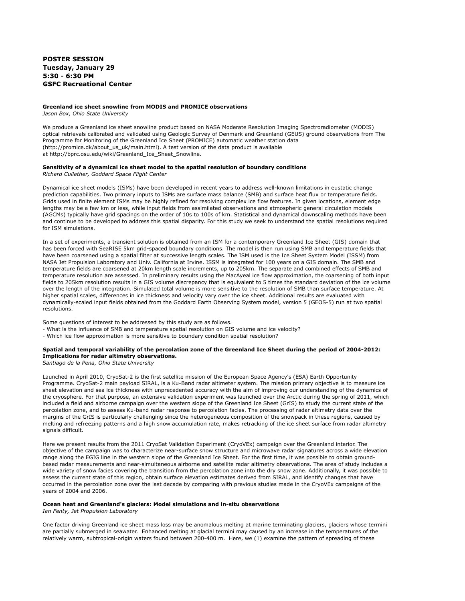# **POSTER SESSION Tuesday, January 29 5:30 - 6:30 PM GSFC Recreational Center**

#### **Greenland ice sheet snowline from MODIS and PROMICE observations**

*Jason Box, Ohio State University*

We produce a Greenland ice sheet snowline product based on NASA Moderate Resolution Imaging Spectroradiometer (MODIS) optical retrievals calibrated and validated using Geologic Survey of Denmark and Greenland (GEUS) ground observations from The Programme for Monitoring of the Greenland Ice Sheet (PROMICE) automatic weather station data (http://promice.dk/about\_us\_uk/main.html). A test version of the data product is available at http://bprc.osu.edu/wiki/Greenland\_Ice\_Sheet\_Snowline.

# **Sensitivity of a dynamical ice sheet model to the spatial resolution of boundary conditions**

*Richard Cullather, Goddard Space Flight Center*

Dynamical ice sheet models (ISMs) have been developed in recent years to address well-known limitations in eustatic change prediction capabilities. Two primary inputs to ISMs are surface mass balance (SMB) and surface heat flux or temperature fields. Grids used in finite element ISMs may be highly refined for resolving complex ice flow features. In given locations, element edge lengths may be a few km or less, while input fields from assimilated observations and atmospheric general circulation models (AGCMs) typically have grid spacings on the order of 10s to 100s of km. Statistical and dynamical downscaling methods have been and continue to be developed to address this spatial disparity. For this study we seek to understand the spatial resolutions required for ISM simulations.

In a set of experiments, a transient solution is obtained from an ISM for a contemporary Greenland Ice Sheet (GIS) domain that has been forced with SeaRISE 5km grid-spaced boundary conditions. The model is then run using SMB and temperature fields that have been coarsened using a spatial filter at successive length scales. The ISM used is the Ice Sheet System Model (ISSM) from NASA Jet Propulsion Laboratory and Univ. California at Irvine. ISSM is integrated for 100 years on a GIS domain. The SMB and temperature fields are coarsened at 20km length scale increments, up to 205km. The separate and combined effects of SMB and temperature resolution are assessed. In preliminary results using the MacAyeal ice flow approximation, the coarsening of both input fields to 205km resolution results in a GIS volume discrepancy that is equivalent to 5 times the standard deviation of the ice volume over the length of the integration. Simulated total volume is more sensitive to the resolution of SMB than surface temperature. At higher spatial scales, differences in ice thickness and velocity vary over the ice sheet. Additional results are evaluated with dynamically-scaled input fields obtained from the Goddard Earth Observing System model, version 5 (GEOS-5) run at two spatial resolutions.

Some questions of interest to be addressed by this study are as follows.

- What is the influence of SMB and temperature spatial resolution on GIS volume and ice velocity?
- Which ice flow approximation is more sensitive to boundary condition spatial resolution?

# **Spatial and temporal variability of the percolation zone of the Greenland Ice Sheet during the period of 2004-2012: Implications for radar altimetry observations.**

*Santiago de la Pena, Ohio State University*

Launched in April 2010, CryoSat-2 is the first satellite mission of the European Space Agency's (ESA) Earth Opportunity Programme. CryoSat-2 main payload SIRAL, is a Ku-Band radar altimeter system. The mission primary objective is to measure ice sheet elevation and sea ice thickness with unprecedented accuracy with the aim of improving our understanding of the dynamics of the cryosphere. For that purpose, an extensive validation experiment was launched over the Arctic during the spring of 2011, which included a field and airborne campaign over the western slope of the Greenland Ice Sheet (GrIS) to study the current state of the percolation zone, and to assess Ku-band radar response to percolation facies. The processing of radar altimetry data over the margins of the GrIS is particularly challenging since the heterogeneous composition of the snowpack in these regions, caused by melting and refreezing patterns and a high snow accumulation rate, makes retracking of the ice sheet surface from radar altimetry signals difficult.

Here we present results from the 2011 CryoSat Validation Experiment (CryoVEx) campaign over the Greenland interior. The objective of the campaign was to characterize near-surface snow structure and microwave radar signatures across a wide elevation range along the EGIG line in the western slope of the Greenland Ice Sheet. For the first time, it was possible to obtain groundbased radar measurements and near-simultaneous airborne and satellite radar altimetry observations. The area of study includes a wide variety of snow facies covering the transition from the percolation zone into the dry snow zone. Additionally, it was possible to assess the current state of this region, obtain surface elevation estimates derived from SIRAL, and identify changes that have occurred in the percolation zone over the last decade by comparing with previous studies made in the CryoVEx campaigns of the years of 2004 and 2006.

#### **Ocean heat and Greenland's glaciers: Model simulations and in-situ observations**

*Ian Fenty, Jet Propulsion Laboratory*

One factor driving Greenland ice sheet mass loss may be anomalous melting at marine terminating glaciers, glaciers whose termini are partially submerged in seawater. Enhanced melting at glacial termini may caused by an increase in the temperatures of the relatively warm, subtropical-origin waters found between 200-400 m. Here, we (1) examine the pattern of spreading of these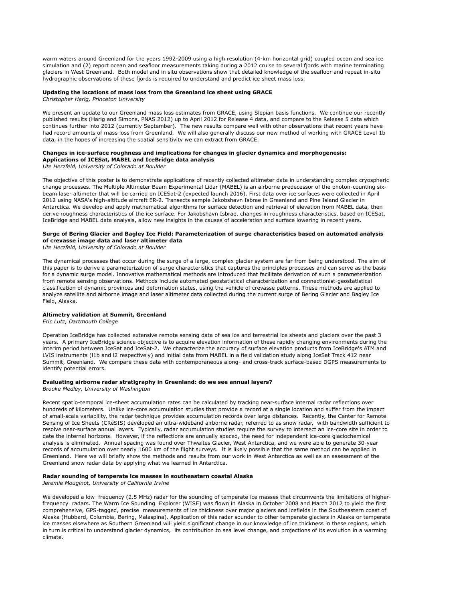warm waters around Greenland for the years 1992-2009 using a high resolution (4-km horizontal grid) coupled ocean and sea ice simulation and (2) report ocean and seafloor measurements taking during a 2012 cruise to several fjords with marine terminating glaciers in West Greenland. Both model and in situ observations show that detailed knowledge of the seafloor and repeat in-situ hydrographic observations of these fjords is required to understand and predict ice sheet mass loss.

#### **Updating the locations of mass loss from the Greenland ice sheet using GRACE**

*Christopher Harig, Princeton University*

We present an update to our Greenland mass loss estimates from GRACE, using Slepian basis functions. We continue our recently published results (Harig and Simons, PNAS 2012) up to April 2012 for Release 4 data, and compare to the Release 5 data which continues further into 2012 (currently September). The new results compare well with other observations that recent years have had record amounts of mass loss from Greenland. We will also generally discuss our new method of working with GRACE Level 1b data, in the hopes of increasing the spatial sensitivity we can extract from GRACE.

#### **Changes in ice-surface roughness and implications for changes in glacier dynamics and morphogenesis: Applications of ICESat, MABEL and IceBridge data analysis**

*Ute Herzfeld, University of Colorado at Boulder*

The objective of this poster is to demonstrate applications of recently collected altimeter data in understanding complex cryospheric change processes. The Multiple Altimeter Beam Experimental Lidar (MABEL) is an airborne predecessor of the photon-counting sixbeam laser altimeter that will be carried on ICESat-2 (expected launch 2016). First data over ice surfaces were collected in April 2012 using NASA's high-altitude aircraft ER-2. Transects sample Jakobshavn Isbrae in Greenland and Pine Island Glacier in Antarctica. We develop and apply mathematical algorithms for surface detection and retrieval of elevation from MABEL data, then derive roughness characteristics of the ice surface. For Jakobshavn Isbrae, changes in roughness characteristics, based on ICESat, IceBridge and MABEL data analysis, allow new insights in the causes of acceleration and surface lowering in recent years.

### **Surge of Bering Glacier and Bagley Ice Field: Parameterization of surge characteristics based on automated analysis of crevasse image data and laser altimeter data**

*Ute Herzfeld, University of Colorado at Boulder*

The dynamical processes that occur during the surge of a large, complex glacier system are far from being understood. The aim of this paper is to derive a parameterization of surge characteristics that captures the principles processes and can serve as the basis for a dynamic surge model. Innovative mathematical methods are introduced that facilitate derivation of such a parameterization from remote sensing observations. Methods include automated geostatistical characterization and connectionist-geostatistical classification of dynamic provinces and deformation states, using the vehicle of crevasse patterns. These methods are applied to analyze satellite and airborne image and laser altimeter data collected during the current surge of Bering Glacier and Bagley Ice Field, Alaska.

#### **Altimetry validation at Summit, Greenland**

*Eric Lutz, Dartmouth College*

Operation IceBridge has collected extensive remote sensing data of sea ice and terrestrial ice sheets and glaciers over the past 3 years. A primary IceBridge science objective is to acquire elevation information of these rapidly changing environments during the interim period between IceSat and IceSat-2. We characterize the accuracy of surface elevation products from IceBridge's ATM and LVIS instruments (l1b and l2 respectively) and initial data from MABEL in a field validation study along IceSat Track 412 near Summit, Greenland. We compare these data with contemporaneous along- and cross-track surface-based DGPS measurements to identify potential errors.

#### **Evaluating airborne radar stratigraphy in Greenland: do we see annual layers?**

*Brooke Medley, University of Washington*

Recent spatio-temporal ice-sheet accumulation rates can be calculated by tracking near-surface internal radar reflections over hundreds of kilometers. Unlike ice-core accumulation studies that provide a record at a single location and suffer from the impact of small-scale variability, the radar technique provides accumulation records over large distances. Recently, the Center for Remote Sensing of Ice Sheets (CReSIS) developed an ultra-wideband airborne radar, referred to as snow radar, with bandwidth sufficient to resolve near-surface annual layers. Typically, radar accumulation studies require the survey to intersect an ice-core site in order to date the internal horizons. However, if the reflections are annually spaced, the need for independent ice-core glaciochemical analysis is eliminated. Annual spacing was found over Thwaites Glacier, West Antarctica, and we were able to generate 30-year records of accumulation over nearly 1600 km of the flight surveys. It is likely possible that the same method can be applied in Greenland. Here we will briefly show the methods and results from our work in West Antarctica as well as an assessment of the Greenland snow radar data by applying what we learned in Antarctica.

#### **Radar sounding of temperate ice masses in southeastern coastal Alaska**

*Jeremie Mouginot, University of California Irvine*

We developed a low frequency (2.5 MHz) radar for the sounding of temperate ice masses that circumvents the limitations of higherfrequency radars. The Warm Ice Sounding Explorer (WISE) was flown in Alaska in October 2008 and March 2012 to yield the first comprehensive, GPS-tagged, precise measurements of ice thickness over major glaciers and icefields in the Southeastern coast of Alaska (Hubbard, Columbia, Bering, Malaspina). Application of this radar sounder to other temperate glaciers in Alaska or temperate ice masses elsewhere as Southern Greenland will yield significant change in our knowledge of ice thickness in these regions, which in turn is critical to understand glacier dynamics, its contribution to sea level change, and projections of its evolution in a warming climate.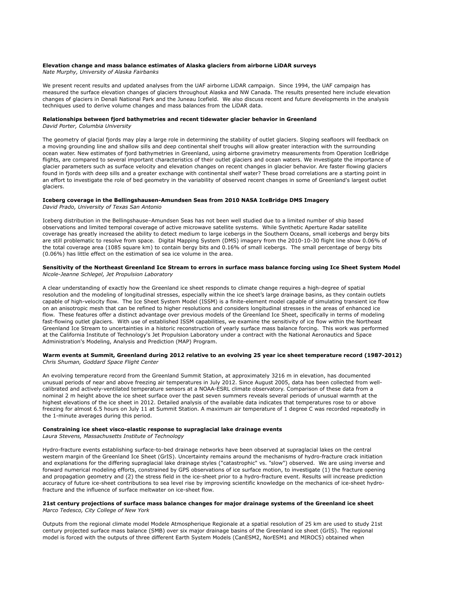# **Elevation change and mass balance estimates of Alaska glaciers from airborne LiDAR surveys**

*Nate Murphy, University of Alaska Fairbanks*

We present recent results and updated analyses from the UAF airborne LiDAR campaign. Since 1994, the UAF campaign has measured the surface elevation changes of glaciers throughout Alaska and NW Canada. The results presented here include elevation changes of glaciers in Denali National Park and the Juneau Icefield. We also discuss recent and future developments in the analysis techniques used to derive volume changes and mass balances from the LiDAR data.

#### **Relationships between fjord bathymetries and recent tidewater glacier behavior in Greenland**

*David Porter, Columbia University*

The geometry of glacial fjords may play a large role in determining the stability of outlet glaciers. Sloping seafloors will feedback on a moving grounding line and shallow sills and deep continental shelf troughs will allow greater interaction with the surrounding ocean water. New estimates of fjord bathymetries in Greenland, using airborne gravimetry measurements from Operation IceBridge flights, are compared to several important characteristics of their outlet glaciers and ocean waters. We investigate the importance of glacier parameters such as surface velocity and elevation changes on recent changes in glacier behavior. Are faster flowing glaciers found in fjords with deep sills and a greater exchange with continental shelf water? These broad correlations are a starting point in an effort to investigate the role of bed geometry in the variability of observed recent changes in some of Greenland's largest outlet glaciers.

# **Iceberg coverage in the Bellingshausen-Amundsen Seas from 2010 NASA IceBridge DMS Imagery**

*David Prado, University of Texas San Antonio*

Iceberg distribution in the Bellingshause–Amundsen Seas has not been well studied due to a limited number of ship based observations and limited temporal coverage of active microwave satellite systems. While Synthetic Aperture Radar satellite coverage has greatly increased the ability to detect medium to large icebergs in the Southern Oceans, small icebergs and bergy bits are still problematic to resolve from space. Digital Mapping System (DMS) imagery from the 2010-10-30 flight line show 0.06% of the total coverage area (1085 square km) to contain bergy bits and 0.16% of small icebergs. The small percentage of bergy bits (0.06%) has little effect on the estimation of sea ice volume in the area.

#### **Sensitivity of the Northeast Greenland Ice Stream to errors in surface mass balance forcing using Ice Sheet System Model** *Nicole-Jeanne Schlegel, Jet Propulsion Laboratory*

A clear understanding of exactly how the Greenland ice sheet responds to climate change requires a high-degree of spatial resolution and the modeling of longitudinal stresses, especially within the ice sheet's large drainage basins, as they contain outlets capable of high-velocity flow. The Ice Sheet System Model (ISSM) is a finite-element model capable of simulating transient ice flow on an anisotropic mesh that can be refined to higher resolutions and considers longitudinal stresses in the areas of enhanced ice flow. These features offer a distinct advantage over previous models of the Greenland Ice Sheet, specifically in terms of modeling fast-flowing outlet glaciers. With use of established ISSM capabilities, we examine the sensitivity of ice flow within the Northeast Greenland Ice Stream to uncertainties in a historic reconstruction of yearly surface mass balance forcing. This work was performed at the California Institute of Technology's Jet Propulsion Laboratory under a contract with the National Aeronautics and Space Administration's Modeling, Analysis and Prediction (MAP) Program.

#### **Warm events at Summit, Greenland during 2012 relative to an evolving 25 year ice sheet temperature record (1987-2012)** *Chris Shuman, Goddard Space Flight Center*

An evolving temperature record from the Greenland Summit Station, at approximately 3216 m in elevation, has documented unusual periods of near and above freezing air temperatures in July 2012. Since August 2005, data has been collected from wellcalibrated and actively-ventilated temperature sensors at a NOAA-ESRL climate observatory. Comparison of these data from a nominal 2 m height above the ice sheet surface over the past seven summers reveals several periods of unusual warmth at the highest elevations of the ice sheet in 2012. Detailed analysis of the available data indicates that temperatures rose to or above freezing for almost 6.5 hours on July 11 at Summit Station. A maximum air temperature of 1 degree C was recorded repeatedly in the 1-minute averages during this period.

#### **Constraining ice sheet visco-elastic response to supraglacial lake drainage events**

*Laura Stevens, Massachusetts Institute of Technology*

Hydro-fracture events establishing surface-to-bed drainage networks have been observed at supraglacial lakes on the central western margin of the Greenland Ice Sheet (GrIS). Uncertainty remains around the mechanisms of hydro-fracture crack initiation and explanations for the differing supraglacial lake drainage styles ("catastrophic" vs. "slow") observed. We are using inverse and forward numerical modeling efforts, constrained by GPS observations of ice surface motion, to investigate (1) the fracture opening and propagation geometry and (2) the stress field in the ice-sheet prior to a hydro-fracture event. Results will increase prediction accuracy of future ice-sheet contributions to sea level rise by improving scientific knowledge on the mechanics of ice-sheet hydrofracture and the influence of surface meltwater on ice-sheet flow.

#### **21st century projections of surface mass balance changes for major drainage systems of the Greenland ice sheet**  *Marco Tedesco, City College of New York*

Outputs from the regional climate model Modele Atmospherique Regionale at a spatial resolution of 25 km are used to study 21st century projected surface mass balance (SMB) over six major drainage basins of the Greenland ice sheet (GrIS). The regional model is forced with the outputs of three different Earth System Models (CanESM2, NorESM1 and MIROC5) obtained when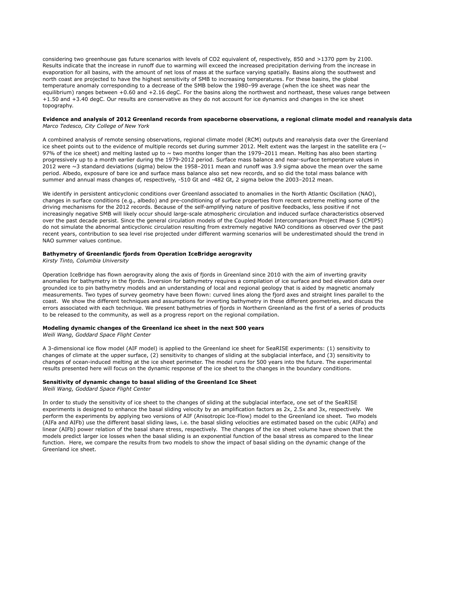considering two greenhouse gas future scenarios with levels of CO2 equivalent of, respectively, 850 and >1370 ppm by 2100. Results indicate that the increase in runoff due to warming will exceed the increased precipitation deriving from the increase in evaporation for all basins, with the amount of net loss of mass at the surface varying spatially. Basins along the southwest and north coast are projected to have the highest sensitivity of SMB to increasing temperatures. For these basins, the global temperature anomaly corresponding to a decrease of the SMB below the 1980–99 average (when the ice sheet was near the equilibrium) ranges between +0.60 and +2.16 degC. For the basins along the northwest and northeast, these values range between +1.50 and +3.40 degC. Our results are conservative as they do not account for ice dynamics and changes in the ice sheet topography.

#### **Evidence and analysis of 2012 Greenland records from spaceborne observations, a regional climate model and reanalysis data** *Marco Tedesco, City College of New York*

A combined analysis of remote sensing observations, regional climate model (RCM) outputs and reanalysis data over the Greenland ice sheet points out to the evidence of multiple records set during summer 2012. Melt extent was the largest in the satellite era ( $\sim$ 97% of the ice sheet) and melting lasted up to  $\sim$  two months longer than the 1979–2011 mean. Melting has also been starting progressively up to a month earlier during the 1979-2012 period. Surface mass balance and near-surface temperature values in 2012 were  $\sim$ 3 standard deviations (sigma) below the 1958–2011 mean and runoff was 3.9 sigma above the mean over the same period. Albedo, exposure of bare ice and surface mass balance also set new records, and so did the total mass balance with summer and annual mass changes of, respectively, -510 Gt and -482 Gt, 2 sigma below the 2003–2012 mean.

We identify in persistent anticyclonic conditions over Greenland associated to anomalies in the North Atlantic Oscillation (NAO), changes in surface conditions (e.g., albedo) and pre-conditioning of surface properties from recent extreme melting some of the driving mechanisms for the 2012 records. Because of the self-amplifying nature of positive feedbacks, less positive if not increasingly negative SMB will likely occur should large-scale atmospheric circulation and induced surface characteristics observed over the past decade persist. Since the general circulation models of the Coupled Model Intercomparison Project Phase 5 (CMIP5) do not simulate the abnormal anticyclonic circulation resulting from extremely negative NAO conditions as observed over the past recent years, contribution to sea level rise projected under different warming scenarios will be underestimated should the trend in NAO summer values continue.

### **Bathymetry of Greenlandic fjords from Operation IceBridge aerogravity**

*Kirsty Tinto, Columbia University*

Operation IceBridge has flown aerogravity along the axis of fjords in Greenland since 2010 with the aim of inverting gravity anomalies for bathymetry in the fjords. Inversion for bathymetry requires a compilation of ice surface and bed elevation data over grounded ice to pin bathymetry models and an understanding of local and regional geology that is aided by magnetic anomaly measurements. Two types of survey geometry have been flown: curved lines along the fjord axes and straight lines parallel to the coast. We show the different techniques and assumptions for inverting bathymetry in these different geometries, and discuss the errors associated with each technique. We present bathymetries of fjords in Northern Greenland as the first of a series of products to be released to the community, as well as a progress report on the regional compilation.

#### **Modeling dynamic changes of the Greenland ice sheet in the next 500 years**

*Weili Wang, Goddard Space Flight Center*

A 3-dimensional ice flow model (AIF model) is applied to the Greenland ice sheet for SeaRISE experiments: (1) sensitivity to changes of climate at the upper surface, (2) sensitivity to changes of sliding at the subglacial interface, and (3) sensitivity to changes of ocean-induced melting at the ice sheet perimeter. The model runs for 500 years into the future. The experimental results presented here will focus on the dynamic response of the ice sheet to the changes in the boundary conditions.

#### **Sensitivity of dynamic change to basal sliding of the Greenland Ice Sheet**

*Weili Wang, Goddard Space Flight Center*

In order to study the sensitivity of ice sheet to the changes of sliding at the subglacial interface, one set of the SeaRISE experiments is designed to enhance the basal sliding velocity by an amplification factors as 2x, 2.5x and 3x, respectively. We perform the experiments by applying two versions of AIF (Anisotropic Ice-Flow) model to the Greenland ice sheet. Two models (AIFa and AIFb) use the different basal sliding laws, i.e. the basal sliding velocities are estimated based on the cubic (AIFa) and linear (AIFb) power relation of the basal share stress, respectively. The changes of the ice sheet volume have shown that the models predict larger ice losses when the basal sliding is an exponential function of the basal stress as compared to the linear function. Here, we compare the results from two models to show the impact of basal sliding on the dynamic change of the Greenland ice sheet.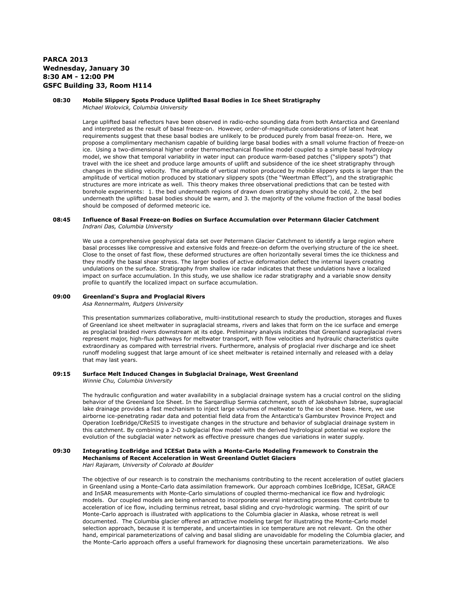# **PARCA 2013 Wednesday, January 30 8:30 AM - 12:00 PM GSFC Building 33, Room H114**

# **08:30 Mobile Slippery Spots Produce Uplifted Basal Bodies in Ice Sheet Stratigraphy**

*Michael Wolovick, Columbia University*

Large uplifted basal reflectors have been observed in radio-echo sounding data from both Antarctica and Greenland and interpreted as the result of basal freeze-on. However, order-of-magnitude considerations of latent heat requirements suggest that these basal bodies are unlikely to be produced purely from basal freeze-on. Here, we propose a complimentary mechanism capable of building large basal bodies with a small volume fraction of freeze-on ice. Using a two-dimensional higher order thermomechanical flowline model coupled to a simple basal hydrology model, we show that temporal variability in water input can produce warm-based patches ("slippery spots") that travel with the ice sheet and produce large amounts of uplift and subsidence of the ice sheet stratigraphy through changes in the sliding velocity. The amplitude of vertical motion produced by mobile slippery spots is larger than the amplitude of vertical motion produced by stationary slippery spots (the "Weertman Effect"), and the stratigraphic structures are more intricate as well. This theory makes three observational predictions that can be tested with borehole experiments: 1. the bed underneath regions of drawn down stratigraphy should be cold, 2. the bed underneath the uplifted basal bodies should be warm, and 3. the majority of the volume fraction of the basal bodies should be composed of deformed meteoric ice.

# **08:45 Influence of Basal Freeze-on Bodies on Surface Accumulation over Petermann Glacier Catchment** *Indrani Das, Columbia University*

We use a comprehensive geophysical data set over Petermann Glacier Catchment to identify a large region where basal processes like compressive and extensive folds and freeze-on deform the overlying structure of the ice sheet. Close to the onset of fast flow, these deformed structures are often horizontally several times the ice thickness and they modify the basal shear stress. The larger bodies of active deformation deflect the internal layers creating undulations on the surface. Stratigraphy from shallow ice radar indicates that these undulations have a localized impact on surface accumulation. In this study, we use shallow ice radar stratigraphy and a variable snow density profile to quantify the localized impact on surface accumulation.

# **09:00 Greenland's Supra and Proglacial Rivers**

*Asa Rennermalm, Rutgers University*

This presentation summarizes collaborative, multi-institutional research to study the production, storages and fluxes of Greenland ice sheet meltwater in supraglacial streams, rivers and lakes that form on the ice surface and emerge as proglacial braided rivers downstream at its edge. Preliminary analysis indicates that Greenland supraglacial rivers represent major, high-flux pathways for meltwater transport, with flow velocities and hydraulic characteristics quite extraordinary as compared with terrestrial rivers. Furthermore, analysis of proglacial river discharge and ice sheet runoff modeling suggest that large amount of ice sheet meltwater is retained internally and released with a delay that may last years.

# **09:15 Surface Melt Induced Changes in Subglacial Drainage, West Greenland**

*Winnie Chu, Columbia University*

The hydraulic configuration and water availability in a subglacial drainage system has a crucial control on the sliding behavior of the Greenland Ice Sheet. In the Sarqardliup Sermia catchment, south of Jakobshavn Isbrae, supraglacial lake drainage provides a fast mechanism to inject large volumes of meltwater to the ice sheet base. Here, we use airborne ice-penetrating radar data and potential field data from the Antarctica's Gamburstev Province Project and Operation IceBridge/CReSIS to investigate changes in the structure and behavior of subglacial drainage system in this catchment. By combining a 2-D subglacial flow model with the derived hydrological potential we explore the evolution of the subglacial water network as effective pressure changes due variations in water supply.

#### **09:30 Integrating IceBridge and ICESat Data with a Monte-Carlo Modeling Framework to Constrain the Mechanisms of Recent Acceleration in West Greenland Outlet Glaciers**

*Hari Rajaram, University of Colorado at Boulder*

The objective of our research is to constrain the mechanisms contributing to the recent acceleration of outlet glaciers in Greenland using a Monte-Carlo data assimilation framework. Our approach combines IceBridge, ICESat, GRACE and InSAR measurements with Monte-Carlo simulations of coupled thermo-mechanical ice flow and hydrologic models. Our coupled models are being enhanced to incorporate several interacting processes that contribute to acceleration of ice flow, including terminus retreat, basal sliding and cryo-hydrologic warming. The spirit of our Monte-Carlo approach is illustrated with applications to the Columbia glacier in Alaska, whose retreat is well documented. The Columbia glacier offered an attractive modeling target for illustrating the Monte-Carlo model selection approach, because it is temperate, and uncertainties in ice temperature are not relevant. On the other hand, empirical parameterizations of calving and basal sliding are unavoidable for modeling the Columbia glacier, and the Monte-Carlo approach offers a useful framework for diagnosing these uncertain parameterizations. We also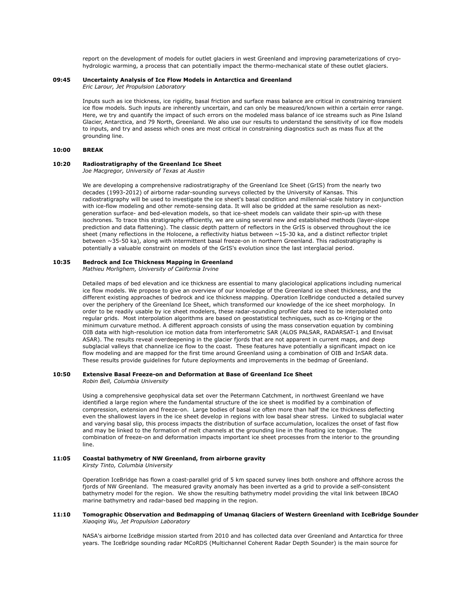report on the development of models for outlet glaciers in west Greenland and improving parameterizations of cryohydrologic warming, a process that can potentially impact the thermo-mechanical state of these outlet glaciers.

#### **09:45 Uncertainty Analysis of Ice Flow Models in Antarctica and Greenland**

*Eric Larour, Jet Propulsion Laboratory*

Inputs such as ice thickness, ice rigidity, basal friction and surface mass balance are critical in constraining transient ice flow models. Such inputs are inherently uncertain, and can only be measured/known within a certain error range. Here, we try and quantify the impact of such errors on the modeled mass balance of ice streams such as Pine Island Glacier, Antarctica, and 79 North, Greenland. We also use our results to understand the sensitivity of ice flow models to inputs, and try and assess which ones are most critical in constraining diagnostics such as mass flux at the grounding line.

### **10:00 BREAK**

# **10:20 Radiostratigraphy of the Greenland Ice Sheet**

*Joe Macgregor, University of Texas at Austin*

We are developing a comprehensive radiostratigraphy of the Greenland Ice Sheet (GrIS) from the nearly two decades (1993-2012) of airborne radar-sounding surveys collected by the University of Kansas. This radiostratigraphy will be used to investigate the ice sheet's basal condition and millennial-scale history in conjunction with ice-flow modeling and other remote-sensing data. It will also be gridded at the same resolution as nextgeneration surface- and bed-elevation models, so that ice-sheet models can validate their spin-up with these isochrones. To trace this stratigraphy efficiently, we are using several new and established methods (layer-slope prediction and data flattening). The classic depth pattern of reflectors in the GrIS is observed throughout the ice sheet (many reflections in the Holocene, a reflectivity hiatus between ~15-30 ka, and a distinct reflector triplet between ~35-50 ka), along with intermittent basal freeze-on in northern Greenland. This radiostratigraphy is potentially a valuable constraint on models of the GrIS's evolution since the last interglacial period.

# **10:35 Bedrock and Ice Thickness Mapping in Greenland**

*Mathieu Morlighem, University of California Irvine*

Detailed maps of bed elevation and ice thickness are essential to many glaciological applications including numerical ice flow models. We propose to give an overview of our knowledge of the Greenland ice sheet thickness, and the different existing approaches of bedrock and ice thickness mapping. Operation IceBridge conducted a detailed survey over the periphery of the Greenland Ice Sheet, which transformed our knowledge of the ice sheet morphology. In order to be readily usable by ice sheet modelers, these radar-sounding profiler data need to be interpolated onto regular grids. Most interpolation algorithms are based on geostatistical techniques, such as co-Kriging or the minimum curvature method. A different approach consists of using the mass conservation equation by combining OIB data with high-resolution ice motion data from interferometric SAR (ALOS PALSAR, RADARSAT-1 and Envisat ASAR). The results reveal overdeepening in the glacier fjords that are not apparent in current maps, and deep subglacial valleys that channelize ice flow to the coast. These features have potentially a significant impact on ice flow modeling and are mapped for the first time around Greenland using a combination of OIB and InSAR data. These results provide guidelines for future deployments and improvements in the bedmap of Greenland.

#### **10:50 Extensive Basal Freeze-on and Deformation at Base of Greenland Ice Sheet** *Robin Bell, Columbia University*

Using a comprehensive geophysical data set over the Petermann Catchment, in northwest Greenland we have identified a large region where the fundamental structure of the ice sheet is modified by a combination of compression, extension and freeze-on. Large bodies of basal ice often more than half the ice thickness deflecting even the shallowest layers in the ice sheet develop in regions with low basal shear stress. Linked to subglacial water and varying basal slip, this process impacts the distribution of surface accumulation, localizes the onset of fast flow and may be linked to the formation of melt channels at the grounding line in the floating ice tongue. The combination of freeze-on and deformation impacts important ice sheet processes from the interior to the grounding line.

# **11:05 Coastal bathymetry of NW Greenland, from airborne gravity**

*Kirsty Tinto, Columbia University*

Operation IceBridge has flown a coast-parallel grid of 5 km spaced survey lines both onshore and offshore across the fjords of NW Greenland. The measured gravity anomaly has been inverted as a grid to provide a self-consistent bathymetry model for the region. We show the resulting bathymetry model providing the vital link between IBCAO marine bathymetry and radar-based bed mapping in the region.

#### **11:10 Tomographic Observation and Bedmapping of Umanaq Glaciers of Western Greenland with IceBridge Sounder** *Xiaoqing Wu, Jet Propulsion Laboratory*

NASA's airborne IceBridge mission started from 2010 and has collected data over Greenland and Antarctica for three years. The IceBridge sounding radar MCoRDS (Multichannel Coherent Radar Depth Sounder) is the main source for